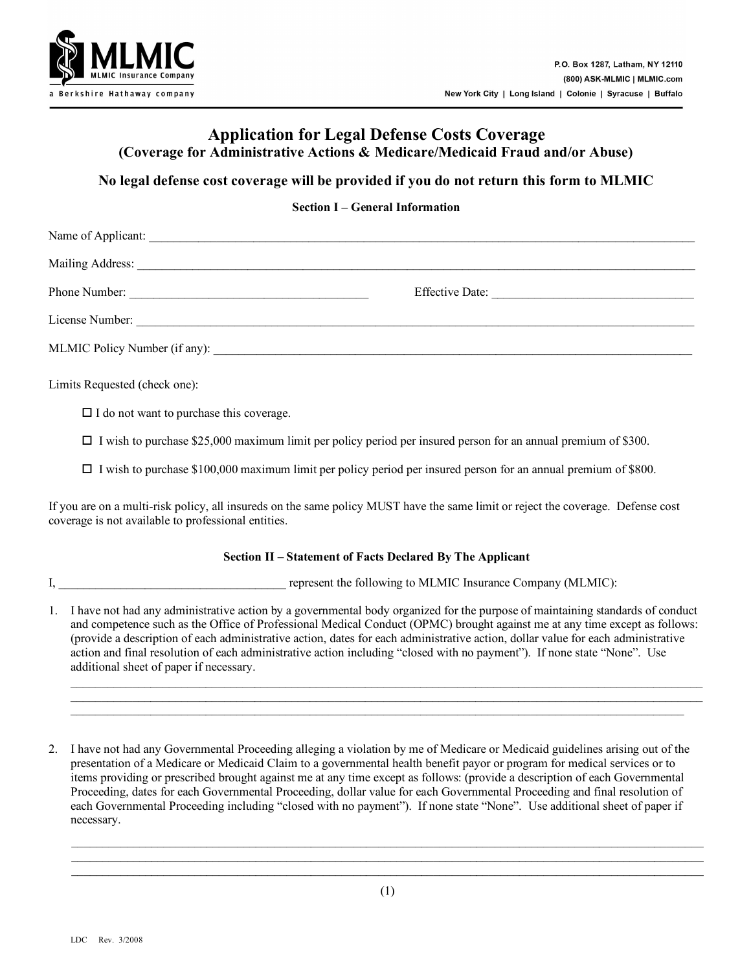

# **Application for Legal Defense Costs Coverage (Coverage for Administrative Actions & Medicare/Medicaid Fraud and/or Abuse)**

## **No legal defense cost coverage will be provided if you do not return this form to MLMIC**

### **Section I – General Information**

| Name of Applicant: |                 |
|--------------------|-----------------|
|                    |                 |
| Phone Number:      | Effective Date: |
| License Number:    |                 |
|                    |                 |
|                    |                 |

Limits Requested (check one):

 $\Box$  I do not want to purchase this coverage.

 $\Box$  I wish to purchase \$25,000 maximum limit per policy period per insured person for an annual premium of \$300.

I wish to purchase \$100,000 maximum limit per policy period per insured person for an annual premium of \$800.

If you are on a multi-risk policy, all insureds on the same policy MUST have the same limit or reject the coverage. Defense cost coverage is not available to professional entities.

#### **Section II – Statement of Facts Declared By The Applicant**

I, \_\_\_\_\_\_\_\_\_\_\_\_\_\_\_\_\_\_\_\_\_\_\_\_\_\_\_\_\_\_\_\_\_\_\_\_\_ represent the following to MLMIC Insurance Company (MLMIC):

1. I have not had any administrative action by a governmental body organized for the purpose of maintaining standards of conduct and competence such as the Office of Professional Medical Conduct (OPMC) brought against me at any time except as follows: (provide a description of each administrative action, dates for each administrative action, dollar value for each administrative action and final resolution of each administrative action including "closed with no payment"). If none state "None". Use additional sheet of paper if necessary.

\_\_\_\_\_\_\_\_\_\_\_\_\_\_\_\_\_\_\_\_\_\_\_\_\_\_\_\_\_\_\_\_\_\_\_\_\_\_\_\_\_\_\_\_\_\_\_\_\_\_\_\_\_\_\_\_\_\_\_\_\_\_\_\_\_\_\_\_\_\_\_\_\_\_\_\_\_\_\_\_\_\_\_\_\_\_\_\_\_\_\_\_\_\_\_\_\_\_\_\_\_\_\_  $\mathcal{L}_\mathcal{L} = \mathcal{L}_\mathcal{L} = \mathcal{L}_\mathcal{L} = \mathcal{L}_\mathcal{L} = \mathcal{L}_\mathcal{L} = \mathcal{L}_\mathcal{L} = \mathcal{L}_\mathcal{L} = \mathcal{L}_\mathcal{L} = \mathcal{L}_\mathcal{L} = \mathcal{L}_\mathcal{L} = \mathcal{L}_\mathcal{L} = \mathcal{L}_\mathcal{L} = \mathcal{L}_\mathcal{L} = \mathcal{L}_\mathcal{L} = \mathcal{L}_\mathcal{L} = \mathcal{L}_\mathcal{L} = \mathcal{L}_\mathcal{L}$ \_\_\_\_\_\_\_\_\_\_\_\_\_\_\_\_\_\_\_\_\_\_\_\_\_\_\_\_\_\_\_\_\_\_\_\_\_\_\_\_\_\_\_\_\_\_\_\_\_\_\_\_\_\_\_\_\_\_\_\_\_\_\_\_\_\_\_\_\_\_\_\_\_\_\_\_\_\_\_\_\_\_\_\_\_\_\_\_\_\_\_\_\_\_\_\_\_\_\_\_

2. I have not had any Governmental Proceeding alleging a violation by me of Medicare or Medicaid guidelines arising out of the presentation of a Medicare or Medicaid Claim to a governmental health benefit payor or program for medical services or to items providing or prescribed brought against me at any time except as follows: (provide a description of each Governmental Proceeding, dates for each Governmental Proceeding, dollar value for each Governmental Proceeding and final resolution of each Governmental Proceeding including "closed with no payment"). If none state "None". Use additional sheet of paper if necessary.

\_\_\_\_\_\_\_\_\_\_\_\_\_\_\_\_\_\_\_\_\_\_\_\_\_\_\_\_\_\_\_\_\_\_\_\_\_\_\_\_\_\_\_\_\_\_\_\_\_\_\_\_\_\_\_\_\_\_\_\_\_\_\_\_\_\_\_\_\_\_\_\_\_\_\_\_\_\_\_\_\_\_\_\_\_\_\_\_\_\_\_\_\_\_\_\_\_\_\_\_\_\_\_ \_\_\_\_\_\_\_\_\_\_\_\_\_\_\_\_\_\_\_\_\_\_\_\_\_\_\_\_\_\_\_\_\_\_\_\_\_\_\_\_\_\_\_\_\_\_\_\_\_\_\_\_\_\_\_\_\_\_\_\_\_\_\_\_\_\_\_\_\_\_\_\_\_\_\_\_\_\_\_\_\_\_\_\_\_\_\_\_\_\_\_\_\_\_\_\_\_\_\_\_\_\_\_